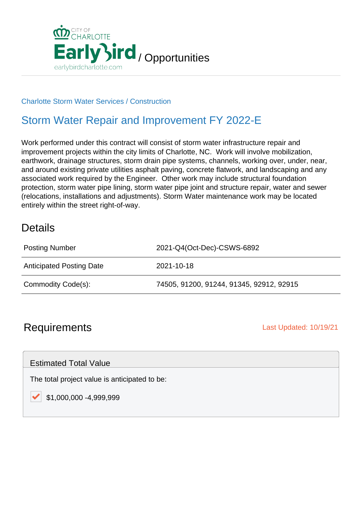

#### Charlotte Storm Water Services / Construction

## Storm Water Repair and Improvement FY 2022-E

Work performed under this contract will consist of storm water infrastructure repair and improvement projects within the city limits of Charlotte, NC. Work will involve mobilization, earthwork, drainage structures, storm drain pipe systems, channels, working over, under, near, and around existing private utilities asphalt paving, concrete flatwork, and landscaping and any associated work required by the Engineer. Other work may include structural foundation protection, storm water pipe lining, storm water pipe joint and structure repair, water and sewer (relocations, installations and adjustments). Storm Water maintenance work may be located entirely within the street right-of-way.

### **Details**

| <b>Posting Number</b>           | 2021-Q4(Oct-Dec)-CSWS-6892               |
|---------------------------------|------------------------------------------|
| <b>Anticipated Posting Date</b> | 2021-10-18                               |
| Commodity Code(s):              | 74505, 91200, 91244, 91345, 92912, 92915 |

### **Requirements Last Updated: 10/19/21**

Estimated Total Value

The total project value is anticipated to be:

\$1,000,000 -4,999,999